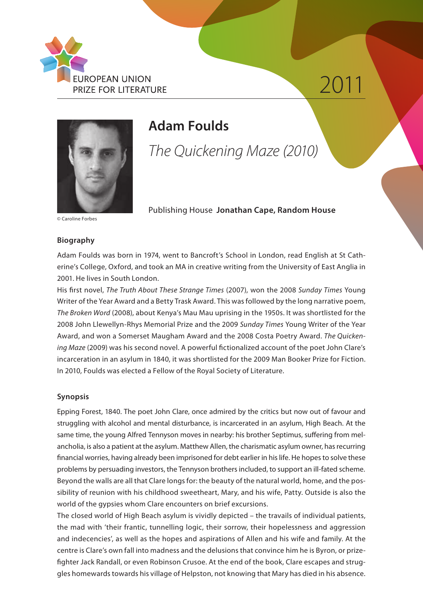

# 2011



### **Adam Foulds**

*The Quickening Maze (2010)*

Publishing House **Jonathan Cape, Random House**

© Caroline Forbes

#### **Biography**

Adam Foulds was born in 1974, went to Bancroft's School in London, read English at St Catherine's College, Oxford, and took an MA in creative writing from the University of East Anglia in 2001. He lives in South London.

His first novel, *The Truth About These Strange Times* (2007), won the 2008 *Sunday Times* Young Writer of the Year Award and a Betty Trask Award. This was followed by the long narrative poem, *The Broken Word* (2008), about Kenya's Mau Mau uprising in the 1950s. It was shortlisted for the 2008 John Llewellyn-Rhys Memorial Prize and the 2009 *Sunday Times* Young Writer of the Year Award, and won a Somerset Maugham Award and the 2008 Costa Poetry Award. *The Quickening Maze* (2009) was his second novel. A powerful fictionalized account of the poet John Clare's incarceration in an asylum in 1840, it was shortlisted for the 2009 Man Booker Prize for Fiction. In 2010, Foulds was elected a Fellow of the Royal Society of Literature.

#### **Synopsis**

Epping Forest, 1840. The poet John Clare, once admired by the critics but now out of favour and struggling with alcohol and mental disturbance, is incarcerated in an asylum, High Beach. At the same time, the young Alfred Tennyson moves in nearby: his brother Septimus, suffering from melancholia, is also a patient at the asylum. Matthew Allen, the charismatic asylum owner, has recurring financial worries, having already been imprisoned for debt earlier in his life. He hopes to solve these problems by persuading investors, the Tennyson brothers included, to support an ill-fated scheme. Beyond the walls are all that Clare longs for: the beauty of the natural world, home, and the possibility of reunion with his childhood sweetheart, Mary, and his wife, Patty. Outside is also the world of the gypsies whom Clare encounters on brief excursions.

The closed world of High Beach asylum is vividly depicted – the travails of individual patients, the mad with 'their frantic, tunnelling logic, their sorrow, their hopelessness and aggression and indecencies', as well as the hopes and aspirations of Allen and his wife and family. At the centre is Clare's own fall into madness and the delusions that convince him he is Byron, or prizefighter Jack Randall, or even Robinson Crusoe. At the end of the book, Clare escapes and struggles homewards towards his village of Helpston, not knowing that Mary has died in his absence.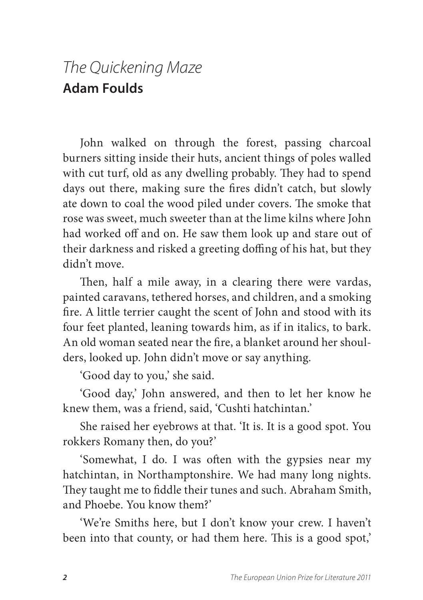## *The Quickening Maze*  **Adam Foulds**

John walked on through the forest, passing charcoal burners sitting inside their huts, ancient things of poles walled with cut turf, old as any dwelling probably. They had to spend days out there, making sure the fires didn't catch, but slowly ate down to coal the wood piled under covers. The smoke that rose was sweet, much sweeter than at the lime kilns where John had worked off and on. He saw them look up and stare out of their darkness and risked a greeting doffing of his hat, but they didn't move.

Then, half a mile away, in a clearing there were vardas, painted caravans, tethered horses, and children, and a smoking fire. A little terrier caught the scent of John and stood with its four feet planted, leaning towards him, as if in italics, to bark. An old woman seated near the fire, a blanket around her shoulders, looked up. John didn't move or say anything.

'Good day to you,' she said.

'Good day,' John answered, and then to let her know he knew them, was a friend, said, 'Cushti hatchintan.'

She raised her eyebrows at that. 'It is. It is a good spot. You rokkers Romany then, do you?'

'Somewhat, I do. I was often with the gypsies near my hatchintan, in Northamptonshire. We had many long nights. They taught me to fiddle their tunes and such. Abraham Smith, and Phoebe. You know them?'

'We're Smiths here, but I don't know your crew. I haven't been into that county, or had them here. This is a good spot,'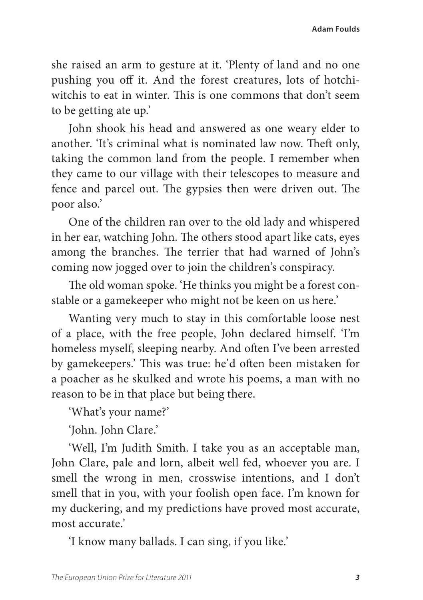she raised an arm to gesture at it. 'Plenty of land and no one pushing you off it. And the forest creatures, lots of hotchiwitchis to eat in winter. This is one commons that don't seem to be getting ate up.'

John shook his head and answered as one weary elder to another. 'It's criminal what is nominated law now. Theft only, taking the common land from the people. I remember when they came to our village with their telescopes to measure and fence and parcel out. The gypsies then were driven out. The poor also.'

One of the children ran over to the old lady and whispered in her ear, watching John. The others stood apart like cats, eyes among the branches. The terrier that had warned of John's coming now jogged over to join the children's conspiracy.

The old woman spoke. 'He thinks you might be a forest constable or a gamekeeper who might not be keen on us here.'

Wanting very much to stay in this comfortable loose nest of a place, with the free people, John declared himself. 'I'm homeless myself, sleeping nearby. And often I've been arrested by gamekeepers.' This was true: he'd often been mistaken for a poacher as he skulked and wrote his poems, a man with no reason to be in that place but being there.

'What's your name?'

'John. John Clare.'

'Well, I'm Judith Smith. I take you as an acceptable man, John Clare, pale and lorn, albeit well fed, whoever you are. I smell the wrong in men, crosswise intentions, and I don't smell that in you, with your foolish open face. I'm known for my duckering, and my predictions have proved most accurate, most accurate.'

'I know many ballads. I can sing, if you like.'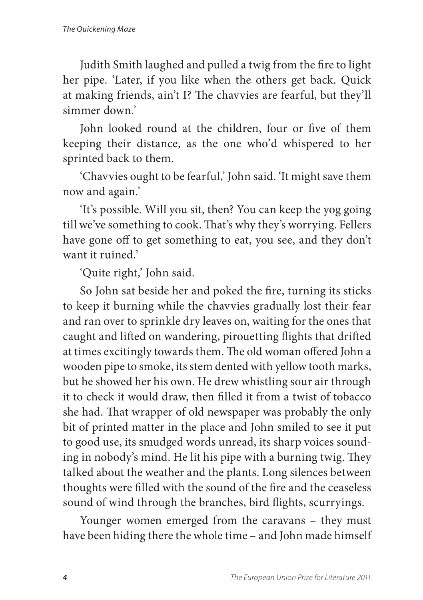Judith Smith laughed and pulled a twig from the fire to light her pipe. 'Later, if you like when the others get back. Quick at making friends, ain't I? The chavvies are fearful, but they'll simmer down.'

John looked round at the children, four or five of them keeping their distance, as the one who'd whispered to her sprinted back to them.

'Chavvies ought to be fearful,' John said. 'It might save them now and again.'

'It's possible. Will you sit, then? You can keep the yog going till we've something to cook. That's why they's worrying. Fellers have gone off to get something to eat, you see, and they don't want it ruined.'

'Quite right,' John said.

So John sat beside her and poked the fire, turning its sticks to keep it burning while the chavvies gradually lost their fear and ran over to sprinkle dry leaves on, waiting for the ones that caught and lifted on wandering, pirouetting flights that drifted at times excitingly towards them. The old woman offered John a wooden pipe to smoke, its stem dented with yellow tooth marks, but he showed her his own. He drew whistling sour air through it to check it would draw, then filled it from a twist of tobacco she had. That wrapper of old newspaper was probably the only bit of printed matter in the place and John smiled to see it put to good use, its smudged words unread, its sharp voices sounding in nobody's mind. He lit his pipe with a burning twig. They talked about the weather and the plants. Long silences between thoughts were filled with the sound of the fire and the ceaseless sound of wind through the branches, bird flights, scurryings.

Younger women emerged from the caravans – they must have been hiding there the whole time – and John made himself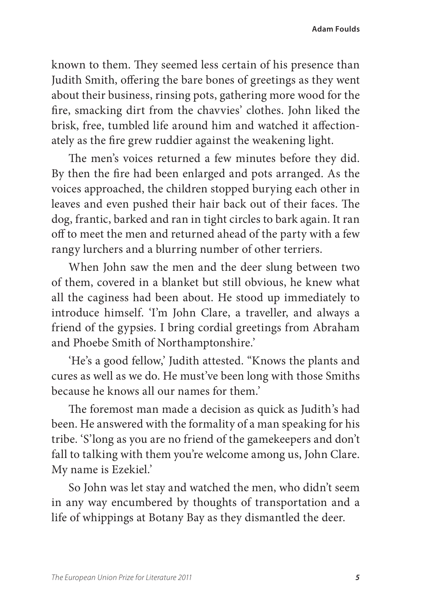known to them. They seemed less certain of his presence than Judith Smith, offering the bare bones of greetings as they went about their business, rinsing pots, gathering more wood for the fire, smacking dirt from the chavvies' clothes. John liked the brisk, free, tumbled life around him and watched it affectionately as the fire grew ruddier against the weakening light.

The men's voices returned a few minutes before they did. By then the fire had been enlarged and pots arranged. As the voices approached, the children stopped burying each other in leaves and even pushed their hair back out of their faces. The dog, frantic, barked and ran in tight circles to bark again. It ran off to meet the men and returned ahead of the party with a few rangy lurchers and a blurring number of other terriers.

When John saw the men and the deer slung between two of them, covered in a blanket but still obvious, he knew what all the caginess had been about. He stood up immediately to introduce himself. 'I'm John Clare, a traveller, and always a friend of the gypsies. I bring cordial greetings from Abraham and Phoebe Smith of Northamptonshire.'

'He's a good fellow,' Judith attested. "Knows the plants and cures as well as we do. He must've been long with those Smiths because he knows all our names for them.'

The foremost man made a decision as quick as Judith's had been. He answered with the formality of a man speaking for his tribe. 'S'long as you are no friend of the gamekeepers and don't fall to talking with them you're welcome among us, John Clare. My name is Ezekiel.'

So John was let stay and watched the men, who didn't seem in any way encumbered by thoughts of transportation and a life of whippings at Botany Bay as they dismantled the deer.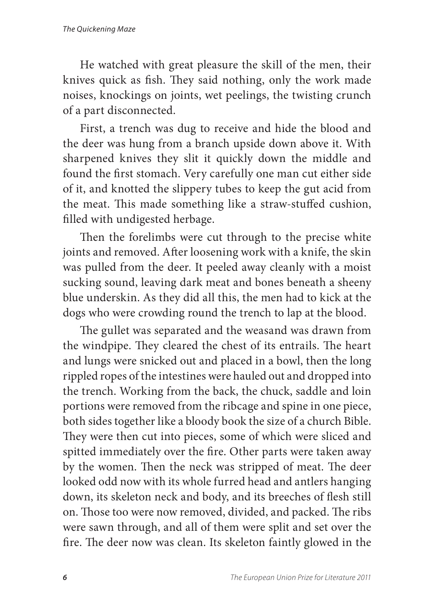He watched with great pleasure the skill of the men, their knives quick as fish. They said nothing, only the work made noises, knockings on joints, wet peelings, the twisting crunch of a part disconnected.

First, a trench was dug to receive and hide the blood and the deer was hung from a branch upside down above it. With sharpened knives they slit it quickly down the middle and found the first stomach. Very carefully one man cut either side of it, and knotted the slippery tubes to keep the gut acid from the meat. This made something like a straw-stuffed cushion, filled with undigested herbage.

Then the forelimbs were cut through to the precise white joints and removed. After loosening work with a knife, the skin was pulled from the deer. It peeled away cleanly with a moist sucking sound, leaving dark meat and bones beneath a sheeny blue underskin. As they did all this, the men had to kick at the dogs who were crowding round the trench to lap at the blood.

The gullet was separated and the weasand was drawn from the windpipe. They cleared the chest of its entrails. The heart and lungs were snicked out and placed in a bowl, then the long rippled ropes of the intestines were hauled out and dropped into the trench. Working from the back, the chuck, saddle and loin portions were removed from the ribcage and spine in one piece, both sides together like a bloody book the size of a church Bible. They were then cut into pieces, some of which were sliced and spitted immediately over the fire. Other parts were taken away by the women. Then the neck was stripped of meat. The deer looked odd now with its whole furred head and antlers hanging down, its skeleton neck and body, and its breeches of flesh still on. Those too were now removed, divided, and packed. The ribs were sawn through, and all of them were split and set over the fire. The deer now was clean. Its skeleton faintly glowed in the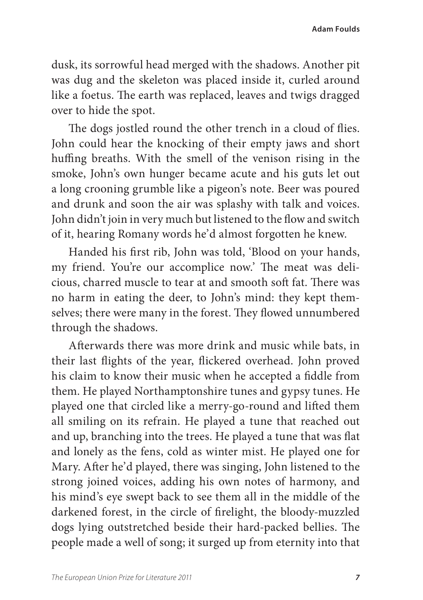dusk, its sorrowful head merged with the shadows. Another pit was dug and the skeleton was placed inside it, curled around like a foetus. The earth was replaced, leaves and twigs dragged over to hide the spot.

The dogs jostled round the other trench in a cloud of flies. John could hear the knocking of their empty jaws and short huffing breaths. With the smell of the venison rising in the smoke, John's own hunger became acute and his guts let out a long crooning grumble like a pigeon's note. Beer was poured and drunk and soon the air was splashy with talk and voices. John didn't join in very much but listened to the flow and switch of it, hearing Romany words he'd almost forgotten he knew.

Handed his first rib, John was told, 'Blood on your hands, my friend. You're our accomplice now.' The meat was delicious, charred muscle to tear at and smooth soft fat. There was no harm in eating the deer, to John's mind: they kept themselves; there were many in the forest. They flowed unnumbered through the shadows.

Afterwards there was more drink and music while bats, in their last flights of the year, flickered overhead. John proved his claim to know their music when he accepted a fiddle from them. He played Northamptonshire tunes and gypsy tunes. He played one that circled like a merry-go-round and lifted them all smiling on its refrain. He played a tune that reached out and up, branching into the trees. He played a tune that was flat and lonely as the fens, cold as winter mist. He played one for Mary. After he'd played, there was singing, John listened to the strong joined voices, adding his own notes of harmony, and his mind's eye swept back to see them all in the middle of the darkened forest, in the circle of firelight, the bloody-muzzled dogs lying outstretched beside their hard-packed bellies. The people made a well of song; it surged up from eternity into that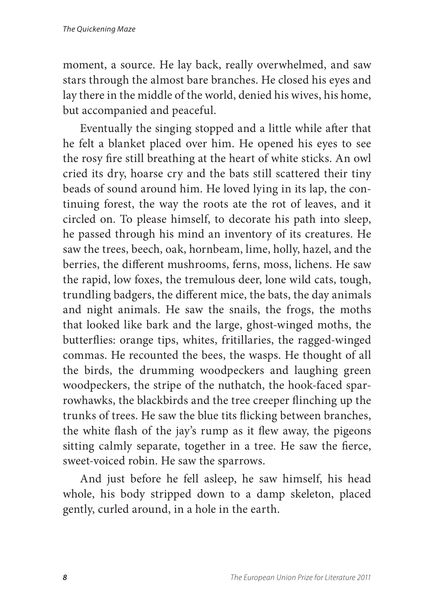moment, a source. He lay back, really overwhelmed, and saw stars through the almost bare branches. He closed his eyes and lay there in the middle of the world, denied his wives, his home, but accompanied and peaceful.

Eventually the singing stopped and a little while after that he felt a blanket placed over him. He opened his eyes to see the rosy fire still breathing at the heart of white sticks. An owl cried its dry, hoarse cry and the bats still scattered their tiny beads of sound around him. He loved lying in its lap, the continuing forest, the way the roots ate the rot of leaves, and it circled on. To please himself, to decorate his path into sleep, he passed through his mind an inventory of its creatures. He saw the trees, beech, oak, hornbeam, lime, holly, hazel, and the berries, the different mushrooms, ferns, moss, lichens. He saw the rapid, low foxes, the tremulous deer, lone wild cats, tough, trundling badgers, the different mice, the bats, the day animals and night animals. He saw the snails, the frogs, the moths that looked like bark and the large, ghost-winged moths, the butterflies: orange tips, whites, fritillaries, the ragged-winged commas. He recounted the bees, the wasps. He thought of all the birds, the drumming woodpeckers and laughing green woodpeckers, the stripe of the nuthatch, the hook-faced sparrowhawks, the blackbirds and the tree creeper flinching up the trunks of trees. He saw the blue tits flicking between branches, the white flash of the jay's rump as it flew away, the pigeons sitting calmly separate, together in a tree. He saw the fierce, sweet-voiced robin. He saw the sparrows.

And just before he fell asleep, he saw himself, his head whole, his body stripped down to a damp skeleton, placed gently, curled around, in a hole in the earth.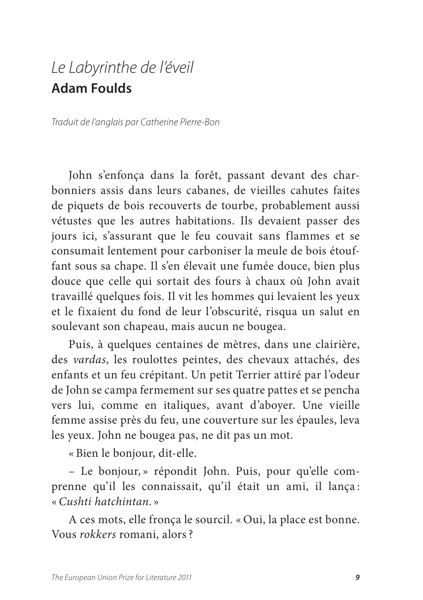# *Le Labyrinthe de l'éveil*  **Adam Foulds**

*Traduit de l'anglais par Catherine Pierre-Bon*

John s'enfonça dans la forêt, passant devant des charbonniers assis dans leurs cabanes, de vieilles cahutes faites de piquets de bois recouverts de tourbe, probablement aussi vétustes que les autres habitations. Ils devaient passer des jours ici, s'assurant que le feu couvait sans flammes et se consumait lentement pour carboniser la meule de bois étouffant sous sa chape. Il s'en élevait une fumée douce, bien plus douce que celle qui sortait des fours à chaux où John avait travaillé quelques fois. Il vit les hommes qui levaient les yeux et le fixaient du fond de leur l'obscurité, risqua un salut en soulevant son chapeau, mais aucun ne bougea.

Puis, à quelques centaines de mètres, dans une clairière, des *vardas*, les roulottes peintes, des chevaux attachés, des enfants et un feu crépitant. Un petit Terrier attiré par l'odeur de John se campa fermement sur ses quatre pattes et se pencha vers lui, comme en italiques, avant d'aboyer. Une vieille femme assise près du feu, une couverture sur les épaules, leva les yeux. John ne bougea pas, ne dit pas un mot.

« Bien le bonjour, dit-elle.

– Le bonjour, » répondit John. Puis, pour qu'elle comprenne qu'il les connaissait, qu'il était un ami, il lança : « *Cushti hatchintan*. »

A ces mots, elle fronça le sourcil. « Oui, la place est bonne. Vous *rokkers* romani, alors?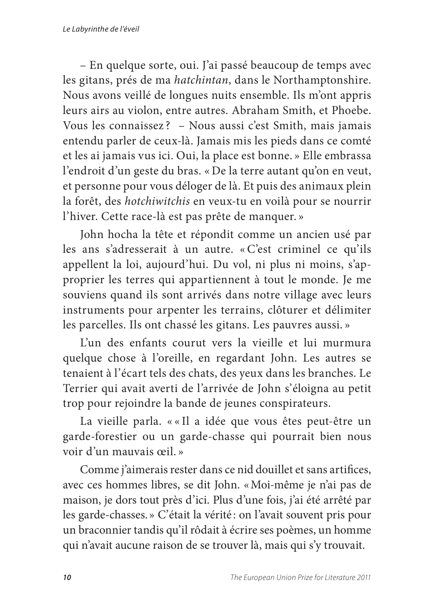– En quelque sorte, oui. J'ai passé beaucoup de temps avec les gitans, prés de ma *hatchintan*, dans le Northamptonshire. Nous avons veillé de longues nuits ensemble. Ils m'ont appris leurs airs au violon, entre autres. Abraham Smith, et Phoebe. Vous les connaissez ? – Nous aussi c'est Smith, mais jamais entendu parler de ceux-là. Jamais mis les pieds dans ce comté et les ai jamais vus ici. Oui, la place est bonne. » Elle embrassa l'endroit d'un geste du bras. « De la terre autant qu'on en veut, et personne pour vous déloger de là. Et puis des animaux plein la forêt, des *hotchiwitchis* en veux-tu en voilà pour se nourrir l'hiver. Cette race-là est pas prête de manquer. »

John hocha la tête et répondit comme un ancien usé par les ans s'adresserait à un autre. «C'est criminel ce qu'ils appellent la loi, aujourd'hui. Du vol, ni plus ni moins, s'approprier les terres qui appartiennent à tout le monde. Je me souviens quand ils sont arrivés dans notre village avec leurs instruments pour arpenter les terrains, clôturer et délimiter les parcelles. Ils ont chassé les gitans. Les pauvres aussi. »

L'un des enfants courut vers la vieille et lui murmura quelque chose à l'oreille, en regardant John. Les autres se tenaient à l'écart tels des chats, des yeux dans les branches. Le Terrier qui avait averti de l'arrivée de John s'éloigna au petit trop pour rejoindre la bande de jeunes conspirateurs.

La vieille parla. « « Il a idée que vous êtes peut-être un garde-forestier ou un garde-chasse qui pourrait bien nous voir d'un mauvais œil. »

Comme j'aimerais rester dans ce nid douillet et sans artifices, avec ces hommes libres, se dit John. «Moi-même je n'ai pas de maison, je dors tout près d'ici. Plus d'une fois, j'ai été arrêté par les garde-chasses. » C'était la vérité : on l'avait souvent pris pour un braconnier tandis qu'il rôdait à écrire ses poèmes, un homme qui n'avait aucune raison de se trouver là, mais qui s'y trouvait.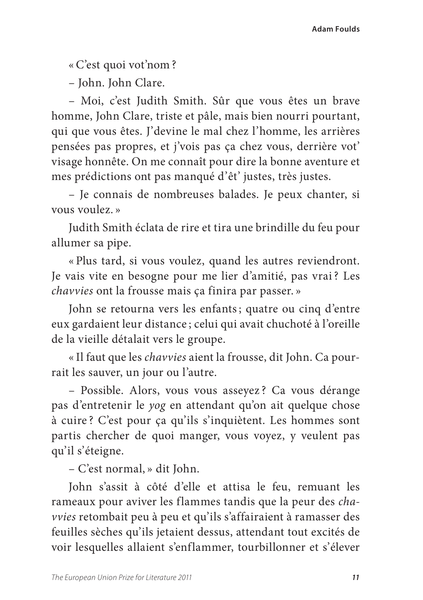«C'est quoi vot'nom ?

– John. John Clare.

– Moi, c'est Judith Smith. Sûr que vous êtes un brave homme, John Clare, triste et pâle, mais bien nourri pourtant, qui que vous êtes. J'devine le mal chez l'homme, les arrières pensées pas propres, et j'vois pas ça chez vous, derrière vot' visage honnête. On me connaît pour dire la bonne aventure et mes prédictions ont pas manqué d'êt' justes, très justes.

– Je connais de nombreuses balades. Je peux chanter, si vous voulez. »

Judith Smith éclata de rire et tira une brindille du feu pour allumer sa pipe.

« Plus tard, si vous voulez, quand les autres reviendront. Je vais vite en besogne pour me lier d'amitié, pas vrai? Les *chavvies* ont la frousse mais ça finira par passer. »

John se retourna vers les enfants; quatre ou cinq d'entre eux gardaient leur distance ; celui qui avait chuchoté à l'oreille de la vieille détalait vers le groupe.

« Il faut que les *chavvies* aient la frousse, dit John. Ca pourrait les sauver, un jour ou l'autre.

– Possible. Alors, vous vous asseyez ? Ca vous dérange pas d'entretenir le *yog* en attendant qu'on ait quelque chose à cuire ? C'est pour ça qu'ils s'inquiètent. Les hommes sont partis chercher de quoi manger, vous voyez, y veulent pas qu'il s'éteigne.

– C'est normal, » dit John.

John s'assit à côté d'elle et attisa le feu, remuant les rameaux pour aviver les flammes tandis que la peur des *chavvies* retombait peu à peu et qu'ils s'affairaient à ramasser des feuilles sèches qu'ils jetaient dessus, attendant tout excités de voir lesquelles allaient s'enflammer, tourbillonner et s'élever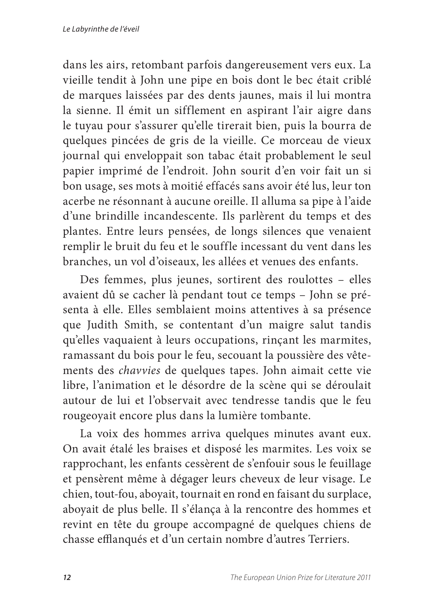dans les airs, retombant parfois dangereusement vers eux. La vieille tendit à John une pipe en bois dont le bec était criblé de marques laissées par des dents jaunes, mais il lui montra la sienne. Il émit un sifflement en aspirant l'air aigre dans le tuyau pour s'assurer qu'elle tirerait bien, puis la bourra de quelques pincées de gris de la vieille. Ce morceau de vieux journal qui enveloppait son tabac était probablement le seul papier imprimé de l'endroit. John sourit d'en voir fait un si bon usage, ses mots à moitié effacés sans avoir été lus, leur ton acerbe ne résonnant à aucune oreille. Il alluma sa pipe à l'aide d'une brindille incandescente. Ils parlèrent du temps et des plantes. Entre leurs pensées, de longs silences que venaient remplir le bruit du feu et le souffle incessant du vent dans les branches, un vol d'oiseaux, les allées et venues des enfants.

Des femmes, plus jeunes, sortirent des roulottes – elles avaient dû se cacher là pendant tout ce temps – John se présenta à elle. Elles semblaient moins attentives à sa présence que Judith Smith, se contentant d'un maigre salut tandis qu'elles vaquaient à leurs occupations, rinçant les marmites, ramassant du bois pour le feu, secouant la poussière des vêtements des *chavvies* de quelques tapes. John aimait cette vie libre, l'animation et le désordre de la scène qui se déroulait autour de lui et l'observait avec tendresse tandis que le feu rougeoyait encore plus dans la lumière tombante.

La voix des hommes arriva quelques minutes avant eux. On avait étalé les braises et disposé les marmites. Les voix se rapprochant, les enfants cessèrent de s'enfouir sous le feuillage et pensèrent même à dégager leurs cheveux de leur visage. Le chien, tout-fou, aboyait, tournait en rond en faisant du surplace, aboyait de plus belle. Il s'élança à la rencontre des hommes et revint en tête du groupe accompagné de quelques chiens de chasse efflanqués et d'un certain nombre d'autres Terriers.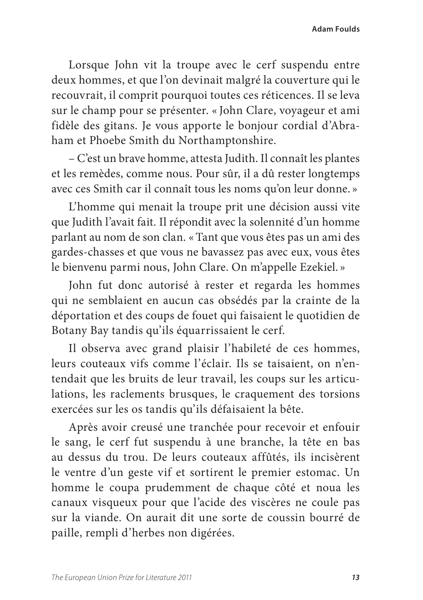Lorsque John vit la troupe avec le cerf suspendu entre deux hommes, et que l'on devinait malgré la couverture qui le recouvrait, il comprit pourquoi toutes ces réticences. Il se leva sur le champ pour se présenter. « John Clare, voyageur et ami fidèle des gitans. Je vous apporte le bonjour cordial d'Abraham et Phoebe Smith du Northamptonshire.

– C'est un brave homme, attesta Judith. Il connaît les plantes et les remèdes, comme nous. Pour sûr, il a dû rester longtemps avec ces Smith car il connaît tous les noms qu'on leur donne. »

L'homme qui menait la troupe prit une décision aussi vite que Judith l'avait fait. Il répondit avec la solennité d'un homme parlant au nom de son clan. «Tant que vous êtes pas un ami des gardes-chasses et que vous ne bavassez pas avec eux, vous êtes le bienvenu parmi nous, John Clare. On m'appelle Ezekiel. »

John fut donc autorisé à rester et regarda les hommes qui ne semblaient en aucun cas obsédés par la crainte de la déportation et des coups de fouet qui faisaient le quotidien de Botany Bay tandis qu'ils équarrissaient le cerf.

Il observa avec grand plaisir l'habileté de ces hommes, leurs couteaux vifs comme l'éclair. Ils se taisaient, on n'entendait que les bruits de leur travail, les coups sur les articulations, les raclements brusques, le craquement des torsions exercées sur les os tandis qu'ils défaisaient la bête.

Après avoir creusé une tranchée pour recevoir et enfouir le sang, le cerf fut suspendu à une branche, la tête en bas au dessus du trou. De leurs couteaux affûtés, ils incisèrent le ventre d'un geste vif et sortirent le premier estomac. Un homme le coupa prudemment de chaque côté et noua les canaux visqueux pour que l'acide des viscères ne coule pas sur la viande. On aurait dit une sorte de coussin bourré de paille, rempli d'herbes non digérées.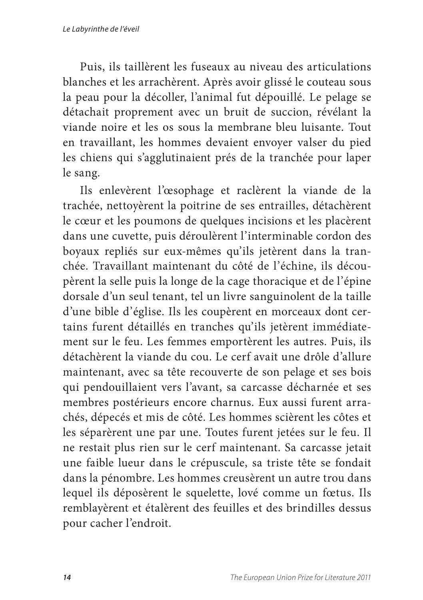Puis, ils taillèrent les fuseaux au niveau des articulations blanches et les arrachèrent. Après avoir glissé le couteau sous la peau pour la décoller, l'animal fut dépouillé. Le pelage se détachait proprement avec un bruit de succion, révélant la viande noire et les os sous la membrane bleu luisante. Tout en travaillant, les hommes devaient envoyer valser du pied les chiens qui s'agglutinaient prés de la tranchée pour laper le sang.

Ils enlevèrent l'œsophage et raclèrent la viande de la trachée, nettoyèrent la poitrine de ses entrailles, détachèrent le cœur et les poumons de quelques incisions et les placèrent dans une cuvette, puis déroulèrent l'interminable cordon des boyaux repliés sur eux-mêmes qu'ils jetèrent dans la tranchée. Travaillant maintenant du côté de l'échine, ils découpèrent la selle puis la longe de la cage thoracique et de l'épine dorsale d'un seul tenant, tel un livre sanguinolent de la taille d'une bible d'église. Ils les coupèrent en morceaux dont certains furent détaillés en tranches qu'ils jetèrent immédiatement sur le feu. Les femmes emportèrent les autres. Puis, ils détachèrent la viande du cou. Le cerf avait une drôle d'allure maintenant, avec sa tête recouverte de son pelage et ses bois qui pendouillaient vers l'avant, sa carcasse décharnée et ses membres postérieurs encore charnus. Eux aussi furent arrachés, dépecés et mis de côté. Les hommes scièrent les côtes et les séparèrent une par une. Toutes furent jetées sur le feu. Il ne restait plus rien sur le cerf maintenant. Sa carcasse jetait une faible lueur dans le crépuscule, sa triste tête se fondait dans la pénombre. Les hommes creusèrent un autre trou dans lequel ils déposèrent le squelette, lové comme un fœtus. Ils remblayèrent et étalèrent des feuilles et des brindilles dessus pour cacher l'endroit.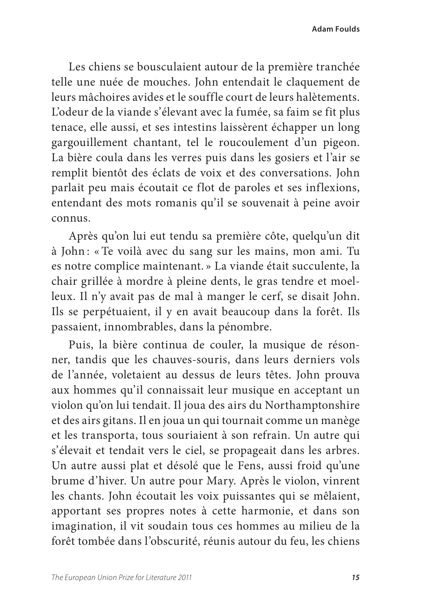Les chiens se bousculaient autour de la première tranchée telle une nuée de mouches. John entendait le claquement de leurs mâchoires avides et le souffle court de leurs halètements. L'odeur de la viande s'élevant avec la fumée, sa faim se fit plus tenace, elle aussi, et ses intestins laissèrent échapper un long gargouillement chantant, tel le roucoulement d'un pigeon. La bière coula dans les verres puis dans les gosiers et l'air se remplit bientôt des éclats de voix et des conversations. John parlait peu mais écoutait ce flot de paroles et ses inflexions, entendant des mots romanis qu'il se souvenait à peine avoir connus.

Après qu'on lui eut tendu sa première côte, quelqu'un dit à John : « Te voilà avec du sang sur les mains, mon ami. Tu es notre complice maintenant. » La viande était succulente, la chair grillée à mordre à pleine dents, le gras tendre et moelleux. Il n'y avait pas de mal à manger le cerf, se disait John. Ils se perpétuaient, il y en avait beaucoup dans la forêt. Ils passaient, innombrables, dans la pénombre.

Puis, la bière continua de couler, la musique de résonner, tandis que les chauves-souris, dans leurs derniers vols de l'année, voletaient au dessus de leurs têtes. John prouva aux hommes qu'il connaissait leur musique en acceptant un violon qu'on lui tendait. Il joua des airs du Northamptonshire et des airs gitans. Il en joua un qui tournait comme un manège et les transporta, tous souriaient à son refrain. Un autre qui s'élevait et tendait vers le ciel, se propageait dans les arbres. Un autre aussi plat et désolé que le Fens, aussi froid qu'une brume d'hiver. Un autre pour Mary. Après le violon, vinrent les chants. John écoutait les voix puissantes qui se mêlaient, apportant ses propres notes à cette harmonie, et dans son imagination, il vit soudain tous ces hommes au milieu de la forêt tombée dans l'obscurité, réunis autour du feu, les chiens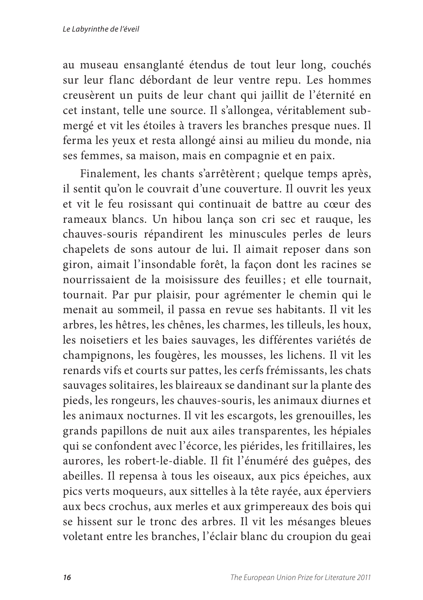au museau ensanglanté étendus de tout leur long, couchés sur leur flanc débordant de leur ventre repu. Les hommes creusèrent un puits de leur chant qui jaillit de l'éternité en cet instant, telle une source. Il s'allongea, véritablement submergé et vit les étoiles à travers les branches presque nues. Il ferma les yeux et resta allongé ainsi au milieu du monde, nia ses femmes, sa maison, mais en compagnie et en paix.

Finalement, les chants s'arrêtèrent ; quelque temps après, il sentit qu'on le couvrait d'une couverture. Il ouvrit les yeux et vit le feu rosissant qui continuait de battre au cœur des rameaux blancs. Un hibou lança son cri sec et rauque, les chauves-souris répandirent les minuscules perles de leurs chapelets de sons autour de lui**.** Il aimait reposer dans son giron, aimait l'insondable forêt, la façon dont les racines se nourrissaient de la moisissure des feuilles; et elle tournait, tournait. Par pur plaisir, pour agrémenter le chemin qui le menait au sommeil, il passa en revue ses habitants. Il vit les arbres, les hêtres, les chênes, les charmes, les tilleuls, les houx, les noisetiers et les baies sauvages, les différentes variétés de champignons, les fougères, les mousses, les lichens. Il vit les renards vifs et courts sur pattes, les cerfs frémissants, les chats sauvages solitaires, les blaireaux se dandinant sur la plante des pieds, les rongeurs, les chauves-souris, les animaux diurnes et les animaux nocturnes. Il vit les escargots, les grenouilles, les grands papillons de nuit aux ailes transparentes, les hépiales qui se confondent avec l'écorce, les piérides, les fritillaires, les aurores, les robert-le-diable. Il fit l'énuméré des guêpes, des abeilles. Il repensa à tous les oiseaux, aux pics épeiches, aux pics verts moqueurs, aux sittelles à la tête rayée, aux éperviers aux becs crochus, aux merles et aux grimpereaux des bois qui se hissent sur le tronc des arbres. Il vit les mésanges bleues voletant entre les branches, l'éclair blanc du croupion du geai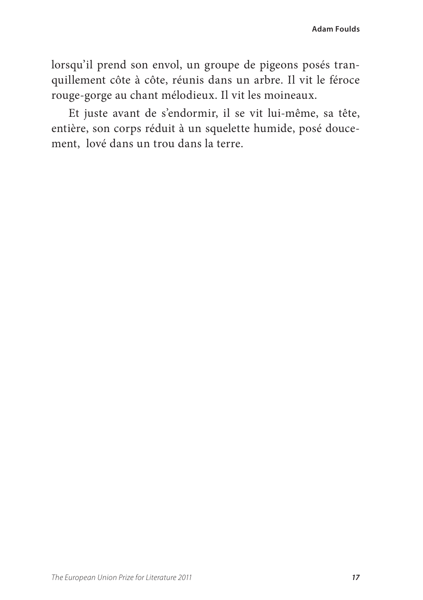lorsqu'il prend son envol, un groupe de pigeons posés tranquillement côte à côte, réunis dans un arbre. Il vit le féroce rouge-gorge au chant mélodieux. Il vit les moineaux.

Et juste avant de s'endormir, il se vit lui-même, sa tête, entière, son corps réduit à un squelette humide, posé doucement, lové dans un trou dans la terre.